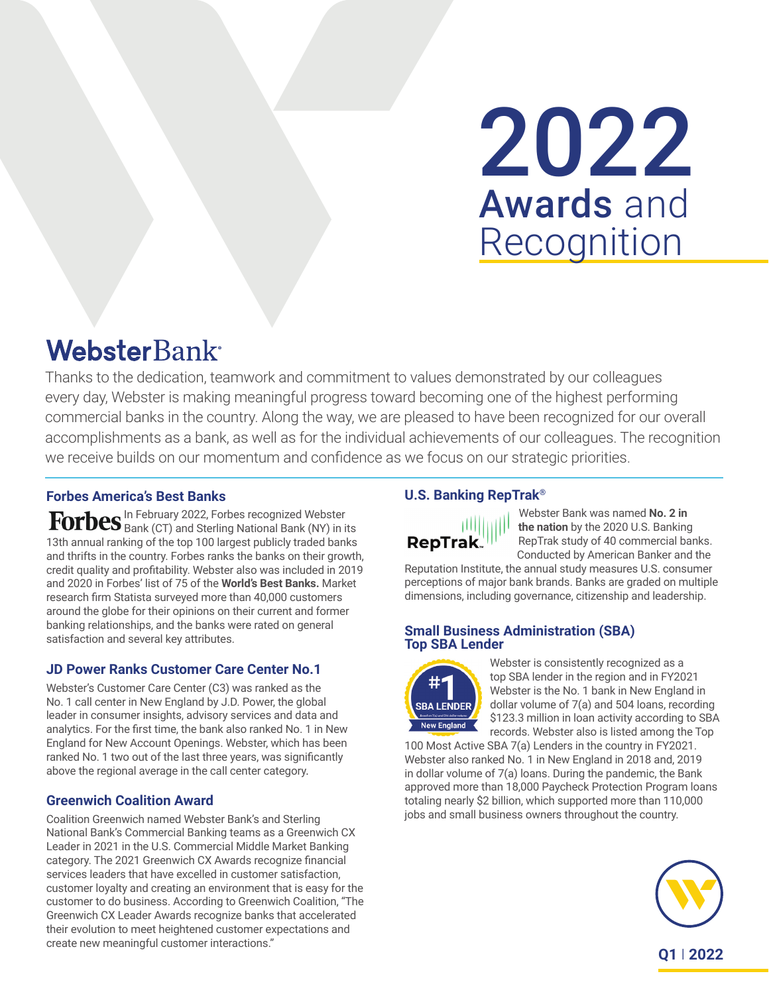# 2022 Awards and Recognition

## **WebsterBank**

Thanks to the dedication, teamwork and commitment to values demonstrated by our colleagues every day, Webster is making meaningful progress toward becoming one of the highest performing commercial banks in the country. Along the way, we are pleased to have been recognized for our overall accomplishments as a bank, as well as for the individual achievements of our colleagues. The recognition we receive builds on our momentum and confidence as we focus on our strategic priorities.

#### **Forbes America's Best Banks**

In February 2022, Forbes recognized Webster Bank (CT) and Sterling National Bank (NY) in its 13th annual ranking of the top 100 largest publicly traded banks and thrifts in the country. Forbes ranks the banks on their growth, credit quality and profitability. Webster also was included in 2019 and 2020 in Forbes' list of 75 of the **World's Best Banks.** Market research firm Statista surveyed more than 40,000 customers around the globe for their opinions on their current and former banking relationships, and the banks were rated on general satisfaction and several key attributes.

#### **JD Power Ranks Customer Care Center No.1**

Webster's Customer Care Center (C3) was ranked as the No. 1 call center in New England by J.D. Power, the global leader in consumer insights, advisory services and data and analytics. For the first time, the bank also ranked No. 1 in New England for New Account Openings. Webster, which has been ranked No. 1 two out of the last three years, was significantly above the regional average in the call center category.

#### **Greenwich Coalition Award**

Coalition Greenwich named Webster Bank's and Sterling National Bank's Commercial Banking teams as a Greenwich CX Leader in 2021 in the U.S. Commercial Middle Market Banking category. The 2021 Greenwich CX Awards recognize financial services leaders that have excelled in customer satisfaction, customer loyalty and creating an environment that is easy for the customer to do business. According to Greenwich Coalition, "The Greenwich CX Leader Awards recognize banks that accelerated their evolution to meet heightened customer expectations and create new meaningful customer interactions."

#### **U.S. Banking RepTrak®**



Webster Bank was named **No. 2 in the nation** by the 2020 U.S. Banking RepTrak study of 40 commercial banks. Conducted by American Banker and the

Reputation Institute, the annual study measures U.S. consumer perceptions of major bank brands. Banks are graded on multiple dimensions, including governance, citizenship and leadership.

#### **Small Business Administration (SBA) Top SBA Lender**



Webster is consistently recognized as a top SBA lender in the region and in FY2021 Webster is the No. 1 bank in New England in dollar volume of 7(a) and 504 loans, recording \$123.3 million in loan activity according to SBA records. Webster also is listed among the Top

100 Most Active SBA 7(a) Lenders in the country in FY2021. Webster also ranked No. 1 in New England in 2018 and, 2019 in dollar volume of 7(a) loans. During the pandemic, the Bank approved more than 18,000 Paycheck Protection Program loans totaling nearly \$2 billion, which supported more than 110,000 jobs and small business owners throughout the country.

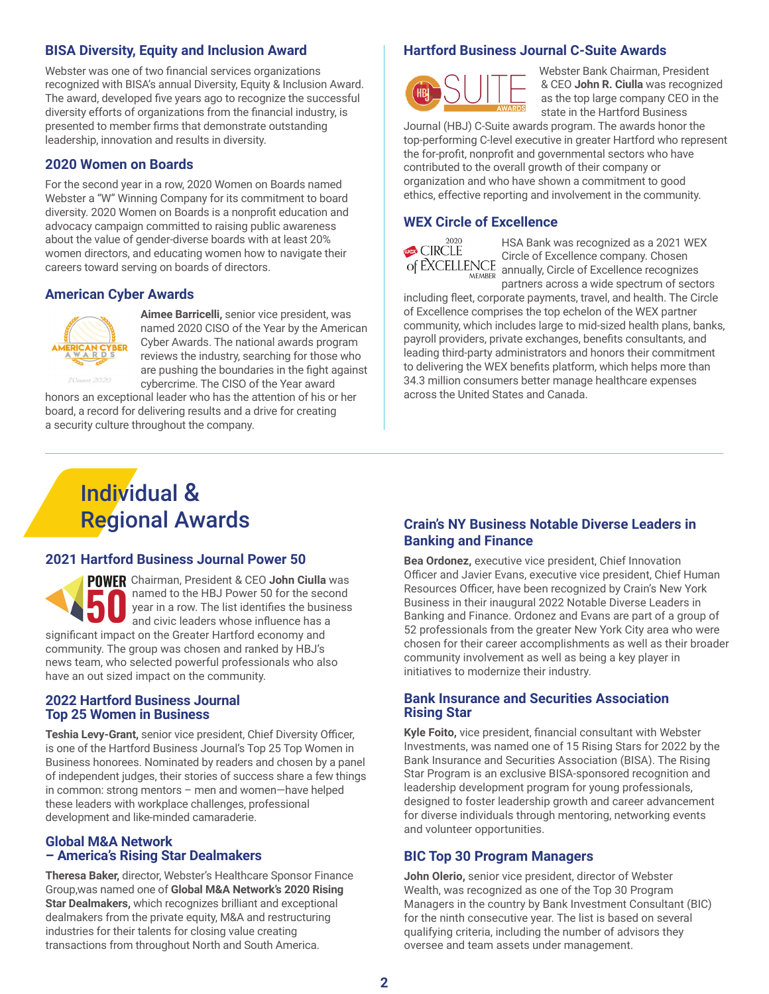#### **BISA Diversity, Equity and Inclusion Award**

Webster was one of two financial services organizations recognized with BISA's annual Diversity, Equity & Inclusion Award. The award, developed five years ago to recognize the successful diversity efforts of organizations from the financial industry, is presented to member firms that demonstrate outstanding leadership, innovation and results in diversity.

#### **2020 Women on Boards**

For the second year in a row, 2020 Women on Boards named Webster a "W" Winning Company for its commitment to board diversity. 2020 Women on Boards is a nonprofit education and advocacy campaign committed to raising public awareness about the value of gender-diverse boards with at least 20% women directors, and educating women how to navigate their careers toward serving on boards of directors.

#### **American Cyber Awards**



**Aimee Barricelli,** senior vice president, was named 2020 CISO of the Year by the American Cyber Awards. The national awards program reviews the industry, searching for those who are pushing the boundaries in the fight against cybercrime. The CISO of the Year award

honors an exceptional leader who has the attention of his or her board, a record for delivering results and a drive for creating a security culture throughout the company.

#### **Hartford Business Journal C-Suite Awards**



 Webster Bank Chairman, President & CEO **John R. Ciulla** was recognized as the top large company CEO in the state in the Hartford Business

Journal (HBJ) C-Suite awards program. The awards honor the top-performing C-level executive in greater Hartford who represent the for-profit, nonprofit and governmental sectors who have contributed to the overall growth of their company or organization and who have shown a commitment to good ethics, effective reporting and involvement in the community.

#### **WEX Circle of Excellence**



HSA Bank was recognized as a 2021 WEX Circle of Excellence company. Chosen annually, Circle of Excellence recognizes partners across a wide spectrum of sectors

including fleet, corporate payments, travel, and health. The Circle of Excellence comprises the top echelon of the WEX partner community, which includes large to mid-sized health plans, banks, payroll providers, private exchanges, benefits consultants, and leading third-party administrators and honors their commitment to delivering the WEX benefits platform, which helps more than 34.3 million consumers better manage healthcare expenses across the United States and Canada.

### Individual & Regional Awards

#### **2021 Hartford Business Journal Power 50**

**POWER** Chairman, President & CEO John Ciulla was named to the HBJ Power 50 for the second year in a row. The list identifies the business and civic leaders whose influence has a significant impact on the Greater Hartford economy and community. The group was chosen and ranked by HBJ's news team, who selected powerful professionals who also have an out sized impact on the community.

#### **2022 Hartford Business Journal Top 25 Women in Business**

**Teshia Levy-Grant,** senior vice president, Chief Diversity Officer, is one of the Hartford Business Journal's Top 25 Top Women in Business honorees. Nominated by readers and chosen by a panel of independent judges, their stories of success share a few things in common: strong mentors – men and women—have helped these leaders with workplace challenges, professional development and like-minded camaraderie.

#### **Global M&A Network – America's Rising Star Dealmakers**

**Theresa Baker,** director, Webster's Healthcare Sponsor Finance Group,was named one of **Global M&A Network's 2020 Rising Star Dealmakers,** which recognizes brilliant and exceptional dealmakers from the private equity, M&A and restructuring industries for their talents for closing value creating transactions from throughout North and South America.

#### **Crain's NY Business Notable Diverse Leaders in Banking and Finance**

**Bea Ordonez,** executive vice president, Chief Innovation Officer and Javier Evans, executive vice president, Chief Human Resources Officer, have been recognized by Crain's New York Business in their inaugural 2022 Notable Diverse Leaders in Banking and Finance. Ordonez and Evans are part of a group of 52 professionals from the greater New York City area who were chosen for their career accomplishments as well as their broader community involvement as well as being a key player in initiatives to modernize their industry.

#### **Bank Insurance and Securities Association Rising Star**

**Kyle Foito,** vice president, financial consultant with Webster Investments, was named one of 15 Rising Stars for 2022 by the Bank Insurance and Securities Association (BISA). The Rising Star Program is an exclusive BISA-sponsored recognition and leadership development program for young professionals, designed to foster leadership growth and career advancement for diverse individuals through mentoring, networking events and volunteer opportunities.

#### **BIC Top 30 Program Managers**

**John Olerio,** senior vice president, director of Webster Wealth, was recognized as one of the Top 30 Program Managers in the country by Bank Investment Consultant (BIC) for the ninth consecutive year. The list is based on several qualifying criteria, including the number of advisors they oversee and team assets under management.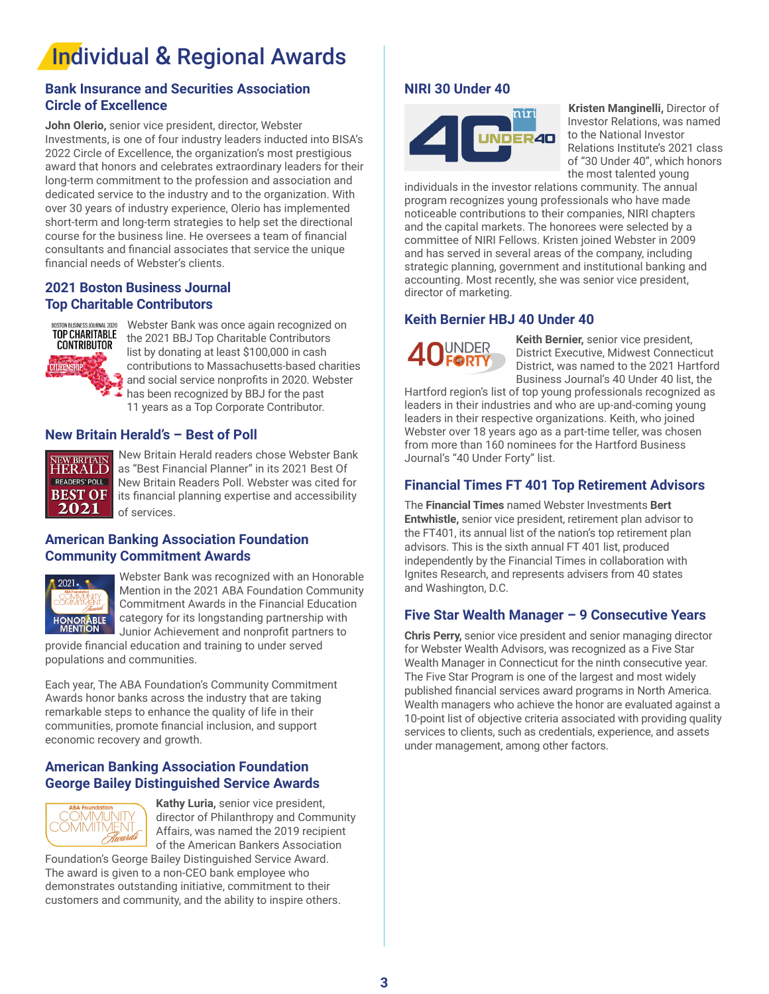## Individual & Regional Awards

#### **Bank Insurance and Securities Association Circle of Excellence**

**John Olerio,** senior vice president, director, Webster Investments, is one of four industry leaders inducted into BISA's 2022 Circle of Excellence, the organization's most prestigious award that honors and celebrates extraordinary leaders for their long-term commitment to the profession and association and dedicated service to the industry and to the organization. With over 30 years of industry experience, Olerio has implemented short-term and long-term strategies to help set the directional course for the business line. He oversees a team of financial consultants and financial associates that service the unique financial needs of Webster's clients.

#### **2021 Boston Business Journal Top Charitable Contributors**



Webster Bank was once again recognized on the 2021 BBJ Top Charitable Contributors list by donating at least \$100,000 in cash contributions to Massachusetts-based charities and social service nonprofits in 2020. Webster has been recognized by BBJ for the past 11 years as a Top Corporate Contributor.

#### **New Britain Herald's – Best of Poll**



New Britain Herald readers chose Webster Bank as "Best Financial Planner" in its 2021 Best Of New Britain Readers Poll. Webster was cited for its financial planning expertise and accessibility of services.

#### **American Banking Association Foundation Community Commitment Awards**



Webster Bank was recognized with an Honorable Mention in the 2021 ABA Foundation Community Commitment Awards in the Financial Education category for its longstanding partnership with Junior Achievement and nonprofit partners to

provide financial education and training to under served populations and communities.

Each year, The ABA Foundation's Community Commitment Awards honor banks across the industry that are taking remarkable steps to enhance the quality of life in their communities, promote financial inclusion, and support economic recovery and growth.

#### **American Banking Association Foundation George Bailey Distinguished Service Awards**



**Kathy Luria,** senior vice president, director of Philanthropy and Community Affairs, was named the 2019 recipient of the American Bankers Association

Foundation's George Bailey Distinguished Service Award. The award is given to a non-CEO bank employee who demonstrates outstanding initiative, commitment to their customers and community, and the ability to inspire others.

#### **NIRI 30 Under 40**



**Kristen Manginelli,** Director of Investor Relations, was named to the National Investor Relations Institute's 2021 class of "30 Under 40", which honors the most talented young

individuals in the investor relations community. The annual program recognizes young professionals who have made noticeable contributions to their companies, NIRI chapters and the capital markets. The honorees were selected by a committee of NIRI Fellows. Kristen joined Webster in 2009 and has served in several areas of the company, including strategic planning, government and institutional banking and accounting. Most recently, she was senior vice president, director of marketing.

#### **Keith Bernier HBJ 40 Under 40**



**Keith Bernier,** senior vice president, District Executive, Midwest Connecticut District, was named to the 2021 Hartford Business Journal's 40 Under 40 list, the

Hartford region's list of top young professionals recognized as leaders in their industries and who are up-and-coming young leaders in their respective organizations. Keith, who joined Webster over 18 years ago as a part-time teller, was chosen from more than 160 nominees for the Hartford Business Journal's "40 Under Forty" list.

#### **Financial Times FT 401 Top Retirement Advisors**

The **Financial Times** named Webster Investments **Bert Entwhistle,** senior vice president, retirement plan advisor to the FT401, its annual list of the nation's top retirement plan advisors. This is the sixth annual FT 401 list, produced independently by the Financial Times in collaboration with Ignites Research, and represents advisers from 40 states and Washington, D.C.

#### **Five Star Wealth Manager – 9 Consecutive Years**

**Chris Perry,** senior vice president and senior managing director for Webster Wealth Advisors, was recognized as a Five Star Wealth Manager in Connecticut for the ninth consecutive year. The Five Star Program is one of the largest and most widely published financial services award programs in North America. Wealth managers who achieve the honor are evaluated against a 10-point list of objective criteria associated with providing quality services to clients, such as credentials, experience, and assets under management, among other factors.